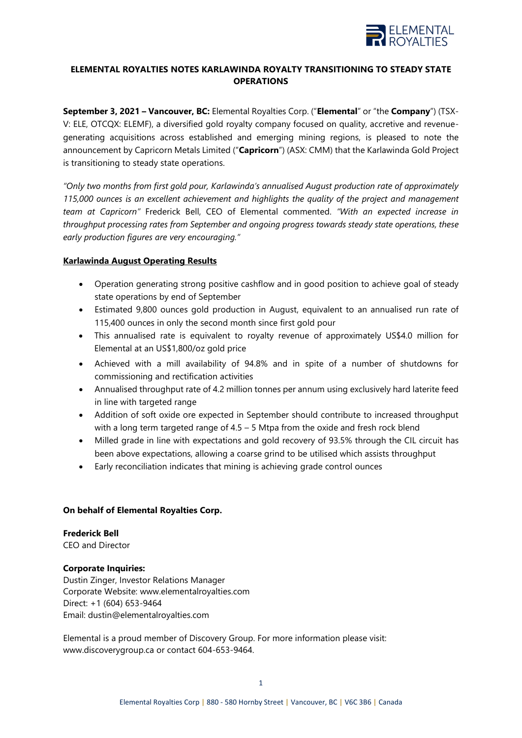

# **ELEMENTAL ROYALTIES NOTES KARLAWINDA ROYALTY TRANSITIONING TO STEADY STATE OPERATIONS**

**September 3, 2021 – Vancouver, BC:** Elemental Royalties Corp. ("**Elemental**" or "the **Company**") (TSX-V: ELE, OTCQX: ELEMF), a diversified gold royalty company focused on quality, accretive and revenuegenerating acquisitions across established and emerging mining regions, is pleased to note the announcement by Capricorn Metals Limited ("**Capricorn**") (ASX: CMM) that the Karlawinda Gold Project is transitioning to steady state operations.

*"Only two months from first gold pour, Karlawinda's annualised August production rate of approximately 115,000 ounces is an excellent achievement and highlights the quality of the project and management team at Capricorn"* Frederick Bell, CEO of Elemental commented. *"With an expected increase in throughput processing rates from September and ongoing progress towards steady state operations, these early production figures are very encouraging."*

## **Karlawinda August Operating Results**

- Operation generating strong positive cashflow and in good position to achieve goal of steady state operations by end of September
- Estimated 9,800 ounces gold production in August, equivalent to an annualised run rate of 115,400 ounces in only the second month since first gold pour
- This annualised rate is equivalent to royalty revenue of approximately US\$4.0 million for Elemental at an US\$1,800/oz gold price
- Achieved with a mill availability of 94.8% and in spite of a number of shutdowns for commissioning and rectification activities
- Annualised throughput rate of 4.2 million tonnes per annum using exclusively hard laterite feed in line with targeted range
- Addition of soft oxide ore expected in September should contribute to increased throughput with a long term targeted range of 4.5 – 5 Mtpa from the oxide and fresh rock blend
- Milled grade in line with expectations and gold recovery of 93.5% through the CIL circuit has been above expectations, allowing a coarse grind to be utilised which assists throughput
- Early reconciliation indicates that mining is achieving grade control ounces

## **On behalf of Elemental Royalties Corp.**

**Frederick Bell** CEO and Director

## **Corporate Inquiries:**

Dustin Zinger, Investor Relations Manager Corporate Website: [www.elementalroyalties.com](http://www.elementalroyalties.com/) Direct: +1 (604) 653-9464 Email: [dustin@elementalroyalties.com](mailto:dustin@elementalroyalties.com)

Elemental is a proud member of Discovery Group. For more information please visit: [www.discoverygroup.ca](http://www.discoverygroup.ca/) or contact 604-653-9464.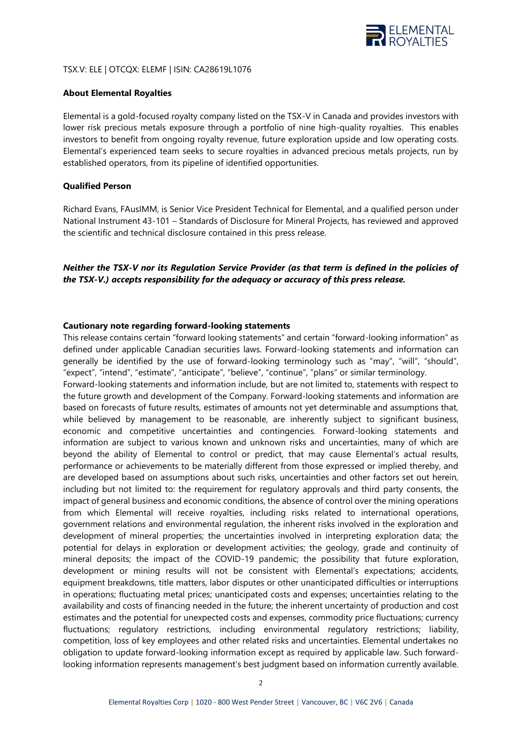

#### TSX.V: ELE | OTCQX: ELEMF | ISIN: CA28619L1076

### **About Elemental Royalties**

Elemental is a gold-focused royalty company listed on the TSX-V in Canada and provides investors with lower risk precious metals exposure through a portfolio of nine high-quality royalties. This enables investors to benefit from ongoing royalty revenue, future exploration upside and low operating costs. Elemental's experienced team seeks to secure royalties in advanced precious metals projects, run by established operators, from its pipeline of identified opportunities.

### **Qualified Person**

Richard Evans, FAusIMM, is Senior Vice President Technical for Elemental, and a qualified person under National Instrument 43-101 – Standards of Disclosure for Mineral Projects, has reviewed and approved the scientific and technical disclosure contained in this press release.

# *Neither the TSX-V nor its Regulation Service Provider (as that term is defined in the policies of the TSX-V.) accepts responsibility for the adequacy or accuracy of this press release.*

#### **Cautionary note regarding forward-looking statements**

This release contains certain "forward looking statements" and certain "forward-looking information" as defined under applicable Canadian securities laws. Forward-looking statements and information can generally be identified by the use of forward-looking terminology such as "may", "will", "should", "expect", "intend", "estimate", "anticipate", "believe", "continue", "plans" or similar terminology.

Forward-looking statements and information include, but are not limited to, statements with respect to the future growth and development of the Company. Forward-looking statements and information are based on forecasts of future results, estimates of amounts not yet determinable and assumptions that, while believed by management to be reasonable, are inherently subject to significant business, economic and competitive uncertainties and contingencies. Forward-looking statements and information are subject to various known and unknown risks and uncertainties, many of which are beyond the ability of Elemental to control or predict, that may cause Elemental's actual results, performance or achievements to be materially different from those expressed or implied thereby, and are developed based on assumptions about such risks, uncertainties and other factors set out herein, including but not limited to: the requirement for regulatory approvals and third party consents, the impact of general business and economic conditions, the absence of control over the mining operations from which Elemental will receive royalties, including risks related to international operations, government relations and environmental regulation, the inherent risks involved in the exploration and development of mineral properties; the uncertainties involved in interpreting exploration data; the potential for delays in exploration or development activities; the geology, grade and continuity of mineral deposits; the impact of the COVID-19 pandemic; the possibility that future exploration, development or mining results will not be consistent with Elemental's expectations; accidents, equipment breakdowns, title matters, labor disputes or other unanticipated difficulties or interruptions in operations; fluctuating metal prices; unanticipated costs and expenses; uncertainties relating to the availability and costs of financing needed in the future; the inherent uncertainty of production and cost estimates and the potential for unexpected costs and expenses, commodity price fluctuations; currency fluctuations; requlatory restrictions, including environmental regulatory restrictions; liability, competition, loss of key employees and other related risks and uncertainties. Elemental undertakes no obligation to update forward-looking information except as required by applicable law. Such forwardlooking information represents management's best judgment based on information currently available.